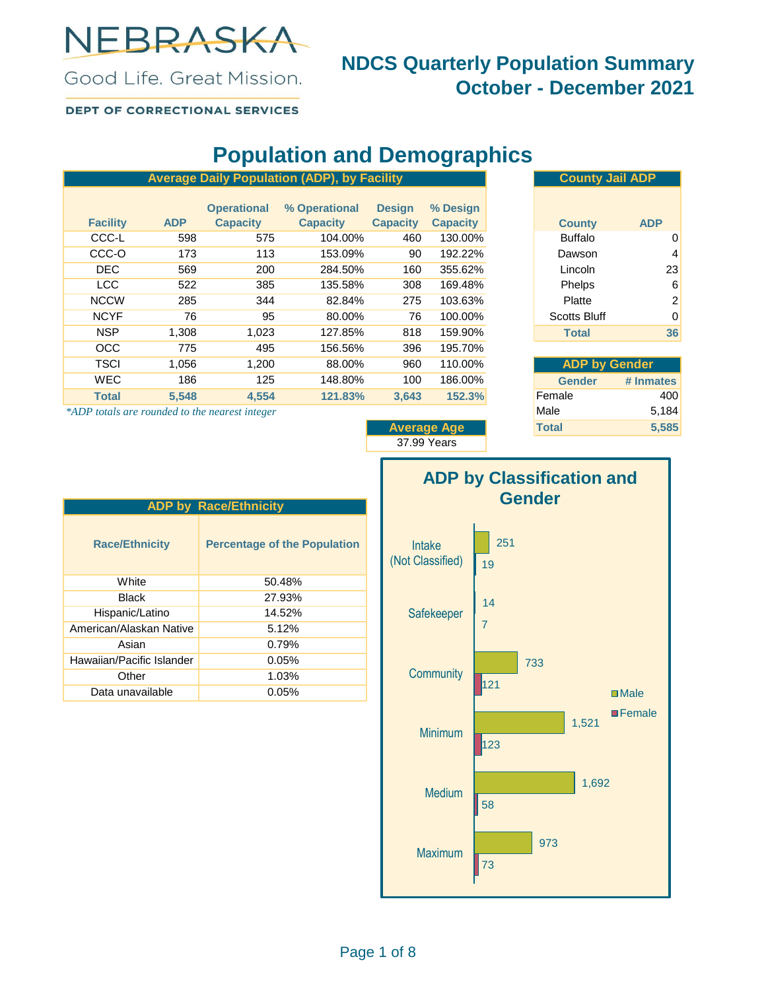

### **NDCS Quarterly Population Summary October - December 2021**

Good Life, Great Mission. DEPT OF CORRECTIONAL SERVICES

## **Population and Demographics**

| <b>County Jail ADP</b>      | <b>Average Daily Population (ADP), by Facility</b> |                 |                 |                    |            |                 |
|-----------------------------|----------------------------------------------------|-----------------|-----------------|--------------------|------------|-----------------|
|                             | % Design                                           | <b>Design</b>   | % Operational   | <b>Operational</b> |            |                 |
| <b>ADP</b><br><b>County</b> | <b>Capacity</b>                                    | <b>Capacity</b> | <b>Capacity</b> | <b>Capacity</b>    | <b>ADP</b> | <b>Facility</b> |
| <b>Buffalo</b><br>0         | 130.00%                                            | 460             | 104.00%         | 575                | 598        | CCC-L           |
| 4<br>Dawson                 | 192.22%                                            | 90              | 153.09%         | 113                | 173        | CCC-O           |
| 23<br>Lincoln               | 355.62%                                            | 160             | 284.50%         | 200                | 569        | <b>DEC</b>      |
| Phelps<br>6                 | 169.48%                                            | 308             | 135.58%         | 385                | 522        | LCC             |
| 2<br>Platte                 | 103.63%                                            | 275             | 82.84%          | 344                | 285        | <b>NCCW</b>     |
| <b>Scotts Bluff</b><br>0    | 100.00%                                            | 76              | 80.00%          | 95                 | 76         | <b>NCYF</b>     |
| 36<br><b>Total</b>          | 159.90%                                            | 818             | 127.85%         | 1,023              | 1,308      | <b>NSP</b>      |
|                             | 195.70%                                            | 396             | 156.56%         | 495                | 775        | OCC             |
| <b>ADP by Gender</b>        | 110.00%                                            | 960             | 88.00%          | 1,200              | 1,056      | <b>TSCI</b>     |
| <b>Gender</b><br># Inmates  | 186.00%                                            | 100             | 148.80%         | 125                | 186        | <b>WEC</b>      |
| 400<br>Female               | 152.3%                                             | 3.643           | 121.83%         | 4.554              | 5.548      | <b>Total</b>    |
|                             |                                                    |                 |                 |                    |            |                 |

\*ADP totals are rounded to the nearest integer

|                 | <b>UUUIILY JAII AD</b> F |            |  |  |  |
|-----------------|--------------------------|------------|--|--|--|
| % Design        |                          |            |  |  |  |
| <b>Capacity</b> | <b>County</b>            | <b>ADP</b> |  |  |  |
| 130.00%         | <b>Buffalo</b>           | 0          |  |  |  |
| 192.22%         | Dawson                   | 4          |  |  |  |
| 355.62%         | Lincoln                  | 23         |  |  |  |
| 169.48%         | Phelps                   | 6          |  |  |  |
| 103.63%         | Platte                   | 2          |  |  |  |
| 100.00%         | <b>Scotts Bluff</b>      | 0          |  |  |  |
| 159.90%         | <b>Total</b>             | 36         |  |  |  |

| <b>ADP by Gender</b> |           |  |  |  |  |  |
|----------------------|-----------|--|--|--|--|--|
| <b>Gender</b>        | # Inmates |  |  |  |  |  |
| Female               | 400       |  |  |  |  |  |
| Male                 | 5,184     |  |  |  |  |  |
| <b>Total</b>         | 5,585     |  |  |  |  |  |

**Average Age** 37.99 Years



| <b>ADP by Race/Ethnicity</b> |                                     |  |  |  |  |  |
|------------------------------|-------------------------------------|--|--|--|--|--|
| <b>Race/Ethnicity</b>        | <b>Percentage of the Population</b> |  |  |  |  |  |
| White                        | 50.48%                              |  |  |  |  |  |
| Black                        | 27.93%                              |  |  |  |  |  |
| Hispanic/Latino              | 14.52%                              |  |  |  |  |  |
| American/Alaskan Native      | 5.12%                               |  |  |  |  |  |
| Asian                        | 0.79%                               |  |  |  |  |  |
| Hawaiian/Pacific Islander    | 0.05%                               |  |  |  |  |  |
| Other                        | 1.03%                               |  |  |  |  |  |
| Data unavailable             | 0.05%                               |  |  |  |  |  |
|                              |                                     |  |  |  |  |  |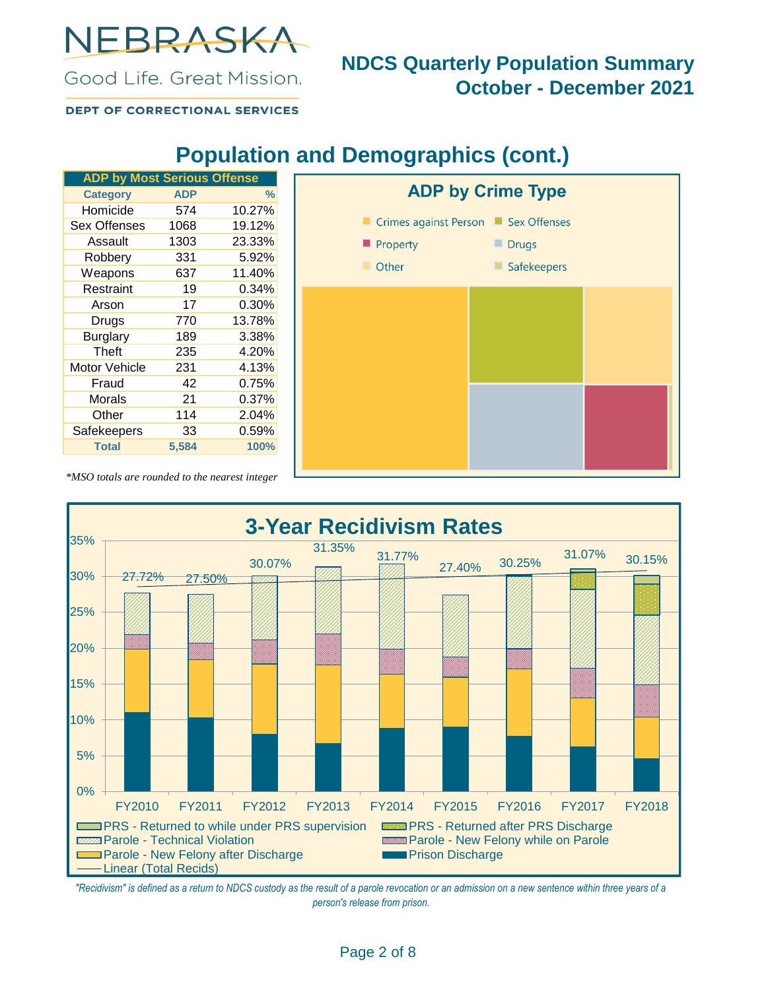NEBRASKA

#### Good Life, Great Mission.

### **NDCS Quarterly Population Summary October - December 2021**

**DEPT OF CORRECTIONAL SERVICES** 

## **Population and Demographics (cont.)**

| <b>ADP by Most Serious Offense</b> |            |               |
|------------------------------------|------------|---------------|
| <b>Category</b>                    | <b>ADP</b> | $\frac{0}{2}$ |
| Homicide                           | 574        | 10.27%        |
| Sex Offenses                       | 1068       | 19.12%        |
| Assault                            | 1303       | 23.33%        |
| Robbery                            | 331        | 5.92%         |
| Weapons                            | 637        | 11.40%        |
| Restraint                          | 19         | 0.34%         |
| Arson                              | 17         | 0.30%         |
| Drugs                              | 770        | 13.78%        |
| <b>Burglary</b>                    | 189        | 3.38%         |
| Theft                              | 235        | 4.20%         |
| Motor Vehicle                      | 231        | 4.13%         |
| Fraud                              | 42         | $0.75\%$      |
| Morals                             | 21         | 0.37%         |
| Other                              | 114        | 2.04%         |
| Safekeepers                        | 33         | 0.59%         |
| <b>Total</b>                       | 5,584      | 100%          |



*\*MSO totals are rounded to the nearest integer*



*"Recidivism" is defined as a return to NDCS custody as the result of a parole revocation or an admission on a new sentence within three years of a person's release from prison.*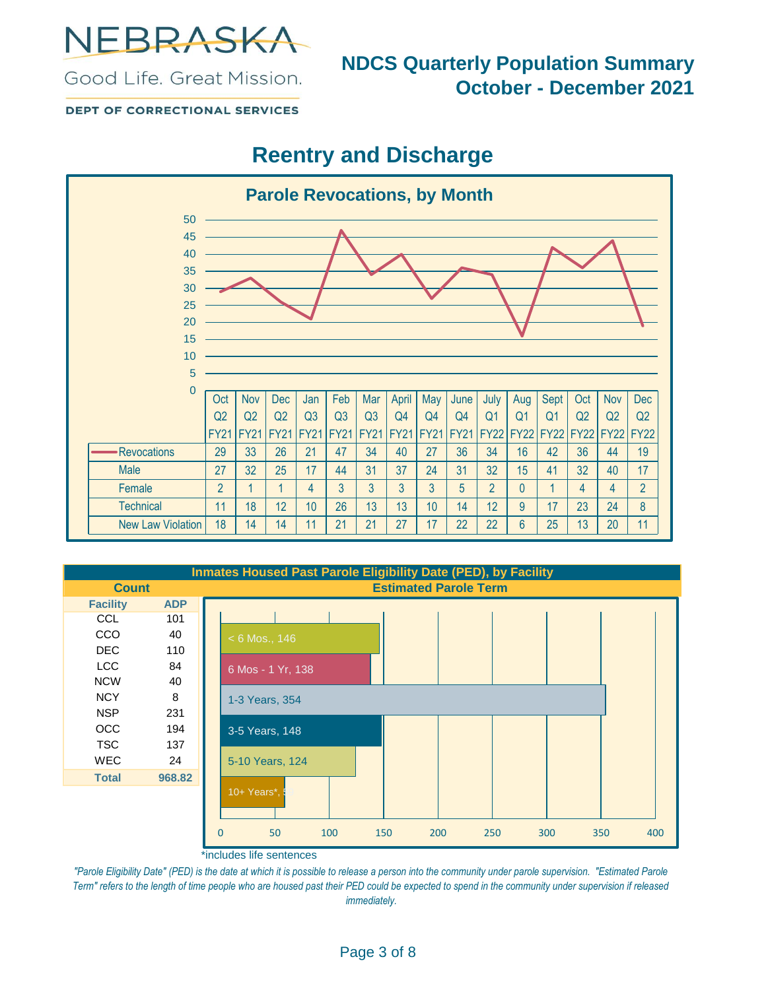

#### Good Life, Great Mission.

### **NDCS Quarterly Population Summary October - December 2021**

**DEPT OF CORRECTIONAL SERVICES** 

## **Reentry and Discharge**



| <b>Inmates Housed Past Parole Eligibility Date (PED), by Facility</b> |            |                              |                   |     |     |     |     |     |     |     |
|-----------------------------------------------------------------------|------------|------------------------------|-------------------|-----|-----|-----|-----|-----|-----|-----|
| <b>Count</b>                                                          |            | <b>Estimated Parole Term</b> |                   |     |     |     |     |     |     |     |
| <b>Facility</b>                                                       | <b>ADP</b> |                              |                   |     |     |     |     |     |     |     |
| <b>CCL</b>                                                            | 101        |                              |                   |     |     |     |     |     |     |     |
| <b>CCO</b>                                                            | 40         |                              | $< 6$ Mos., 146   |     |     |     |     |     |     |     |
| DEC.                                                                  | 110        |                              |                   |     |     |     |     |     |     |     |
| <b>LCC</b>                                                            | 84         |                              | 6 Mos - 1 Yr, 138 |     |     |     |     |     |     |     |
| <b>NCW</b>                                                            | 40         |                              |                   |     |     |     |     |     |     |     |
| <b>NCY</b>                                                            | 8          |                              | 1-3 Years, 354    |     |     |     |     |     |     |     |
| <b>NSP</b>                                                            | 231        |                              |                   |     |     |     |     |     |     |     |
| <b>OCC</b>                                                            | 194        |                              | 3-5 Years, 148    |     |     |     |     |     |     |     |
| <b>TSC</b>                                                            | 137        |                              |                   |     |     |     |     |     |     |     |
| <b>WEC</b>                                                            | 24         |                              | 5-10 Years, 124   |     |     |     |     |     |     |     |
| <b>Total</b>                                                          | 968.82     |                              |                   |     |     |     |     |     |     |     |
|                                                                       |            |                              | 10+ Years*,       |     |     |     |     |     |     |     |
|                                                                       |            |                              |                   |     |     |     |     |     |     |     |
|                                                                       |            | 0                            | 50                | 100 | 150 | 200 | 250 | 300 | 350 | 400 |

\*includes life sentences

"Parole Eligibility Date" (PED) is the date at which it is possible to release a person into the community under parole supervision. "Estimated Parole *Term" refers to the length of time people who are housed past their PED could be expected to spend in the community under supervision if released immediately.*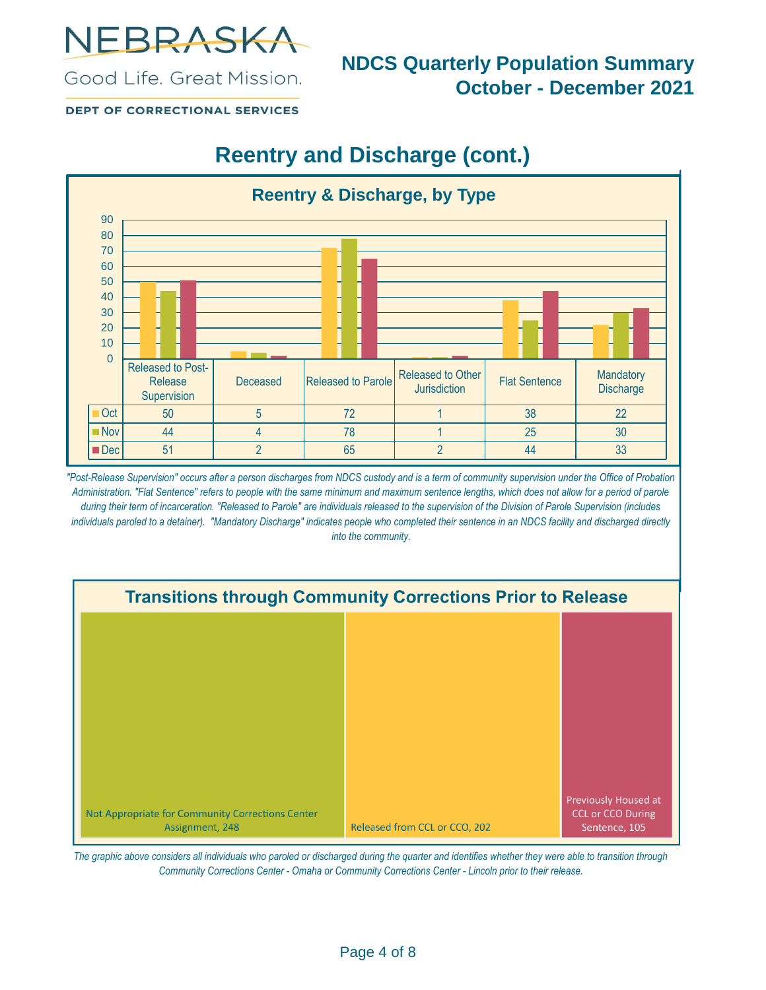

**NDCS Quarterly Population Summary October - December 2021**

**DEPT OF CORRECTIONAL SERVICES** 

Good Life, Great Mission.

# **Reentry and Discharge (cont.)**



*"Post-Release Supervision" occurs after a person discharges from NDCS custody and is a term of community supervision under the Office of Probation Administration. "Flat Sentence" refers to people with the same minimum and maximum sentence lengths, which does not allow for a period of parole during their term of incarceration. "Released to Parole" are individuals released to the supervision of the Division of Parole Supervision (includes*  individuals paroled to a detainer). "Mandatory Discharge" indicates people who completed their sentence in an NDCS facility and discharged directly *into the community.*



*The graphic above considers all individuals who paroled or discharged during the quarter and identifies whether they were able to transition through Community Corrections Center - Omaha or Community Corrections Center - Lincoln prior to their release.*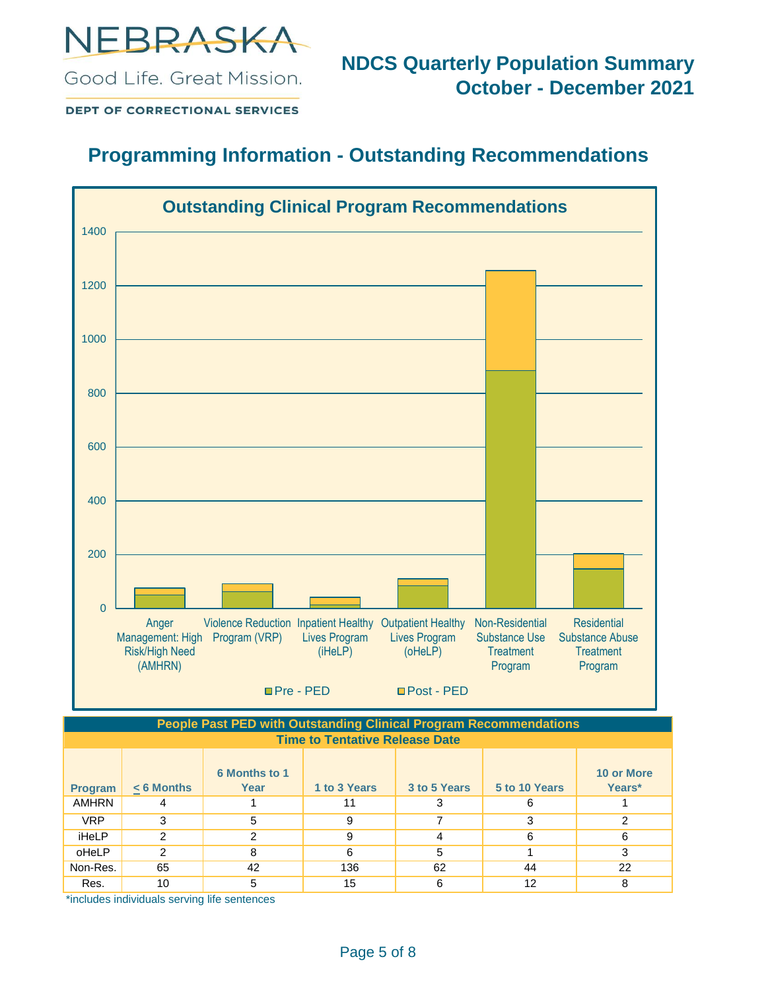

**NDCS Quarterly Population Summary October - December 2021**

**DEPT OF CORRECTIONAL SERVICES** 

Good Life, Great Mission.

### **Programming Information - Outstanding Recommendations**



**Time to Tentative Release Date People Past PED with Outstanding Clinical Program Recommendations**

| <b>Program</b> | $< 6$ Months | <b>6 Months to 1</b><br>Year | 1 to 3 Years | 3 to 5 Years | 5 to 10 Years | <b>10 or More</b><br>Years* |
|----------------|--------------|------------------------------|--------------|--------------|---------------|-----------------------------|
| <b>AMHRN</b>   |              |                              | 11           | 3            | 6             |                             |
| <b>VRP</b>     | 3            | 5                            | 9            |              | ◠             | ົ                           |
| iHeLP          | 2            | っ                            | 9            | 4            | 6             | 6                           |
| oHeLP          | 2            | 8                            | 6            | 5            |               |                             |
| Non-Res.       | 65           | 42                           | 136          | 62           | 44            | 22                          |
| Res.           | 10           |                              | 15           | 6            | 12            |                             |

\*includes individuals serving life sentences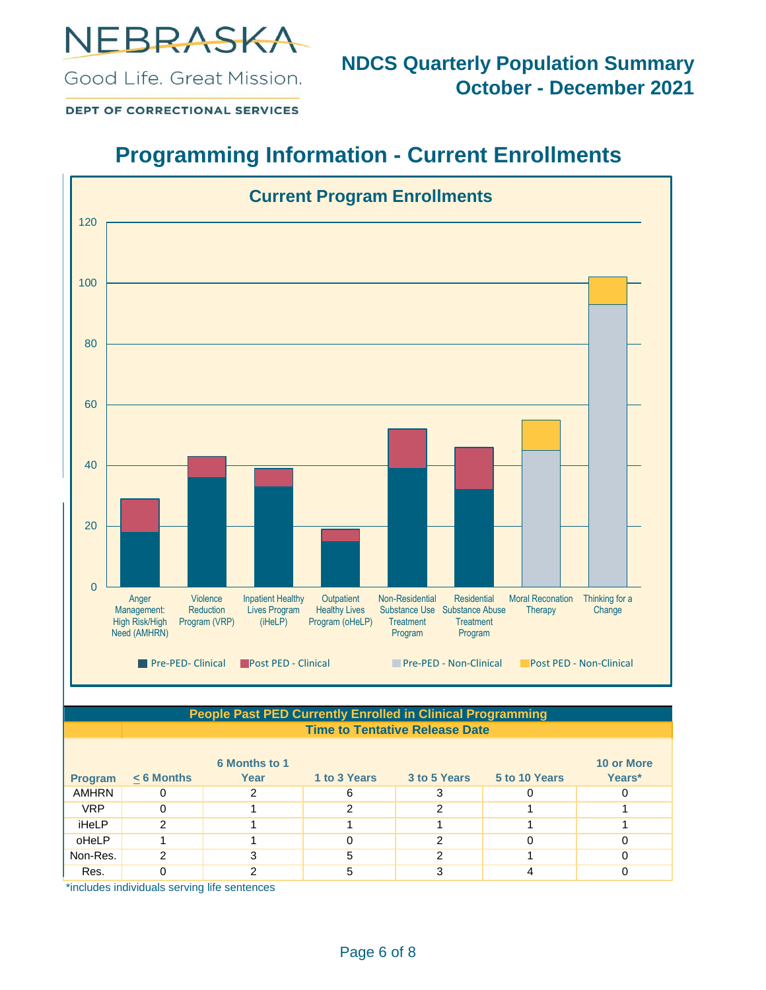

**DEPT OF CORRECTIONAL SERVICES** 

## **Programming Information - Current Enrollments**



| <b>People Past PED Currently Enrolled in Clinical Programming</b> |                                       |                      |              |              |               |                   |  |  |  |
|-------------------------------------------------------------------|---------------------------------------|----------------------|--------------|--------------|---------------|-------------------|--|--|--|
|                                                                   | <b>Time to Tentative Release Date</b> |                      |              |              |               |                   |  |  |  |
|                                                                   |                                       | <b>6 Months to 1</b> |              |              |               | <b>10 or More</b> |  |  |  |
| <b>Program</b>                                                    | $< 6$ Months                          | Year                 | 1 to 3 Years | 3 to 5 Years | 5 to 10 Years | Years*            |  |  |  |
| <b>AMHRN</b>                                                      |                                       |                      | 6            |              |               |                   |  |  |  |
| <b>VRP</b>                                                        | 0                                     |                      | っ            | 2            |               |                   |  |  |  |
| iHeLP                                                             | 2                                     |                      |              |              |               |                   |  |  |  |
| oHeLP                                                             |                                       |                      |              | 2            |               |                   |  |  |  |
| Non-Res.                                                          | 2                                     |                      | 5            | າ            |               |                   |  |  |  |
| Res.<br>.                                                         | 0                                     | 2                    | 5            | 3            |               |                   |  |  |  |

\*includes individuals serving life sentences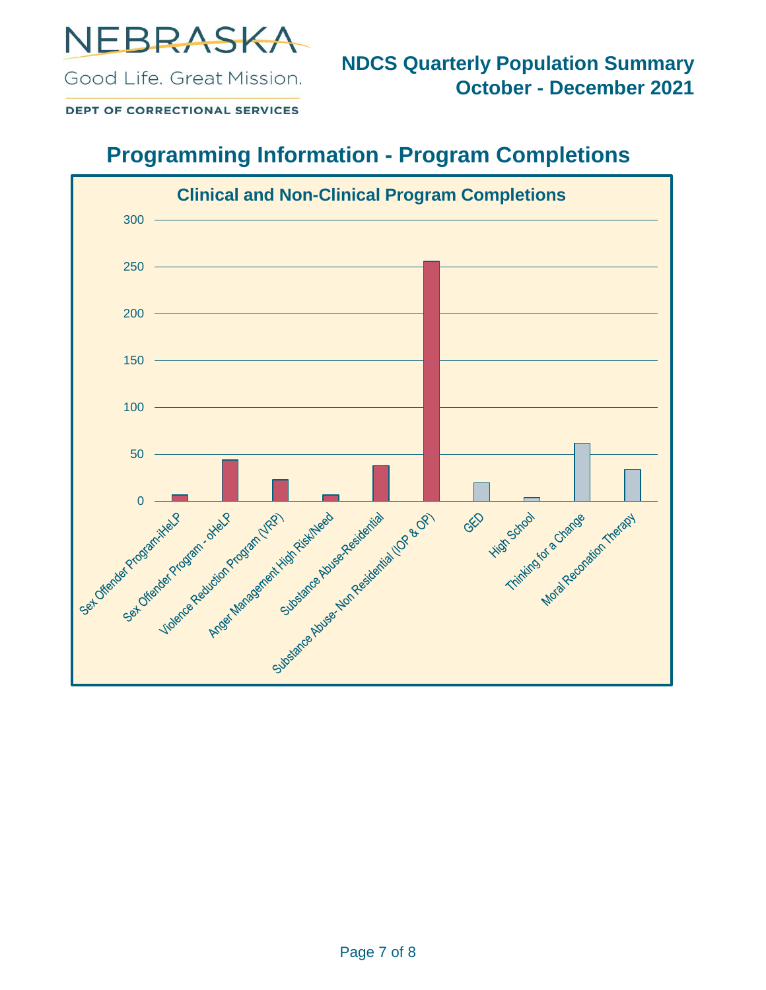

**DEPT OF CORRECTIONAL SERVICES** 

Good Life, Great Mission.

## **Programming Information - Program Completions**